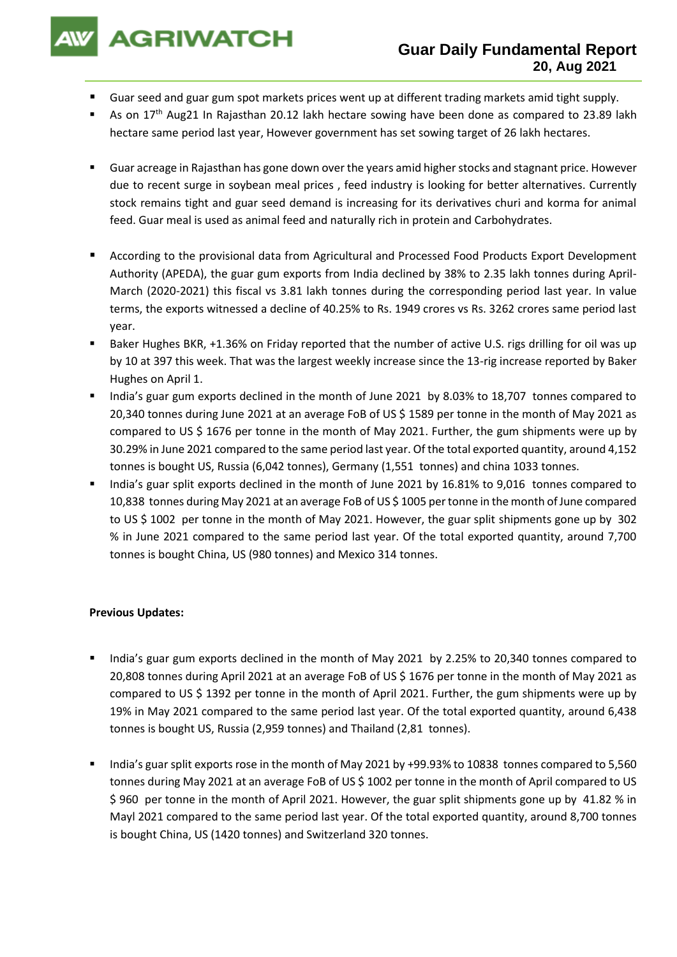**AGRIWATCH** 

- Guar seed and guar gum spot markets prices went up at different trading markets amid tight supply.
- As on  $17<sup>th</sup>$  Aug21 In Rajasthan 20.12 lakh hectare sowing have been done as compared to 23.89 lakh hectare same period last year, However government has set sowing target of 26 lakh hectares.
- Guar acreage in Rajasthan has gone down over the years amid higher stocks and stagnant price. However due to recent surge in soybean meal prices , feed industry is looking for better alternatives. Currently stock remains tight and guar seed demand is increasing for its derivatives churi and korma for animal feed. Guar meal is used as animal feed and naturally rich in protein and Carbohydrates.
- According to the provisional data from Agricultural and Processed Food Products Export Development Authority (APEDA), the guar gum exports from India declined by 38% to 2.35 lakh tonnes during April-March (2020-2021) this fiscal vs 3.81 lakh tonnes during the corresponding period last year. In value terms, the exports witnessed a decline of 40.25% to Rs. 1949 crores vs Rs. 3262 crores same period last year.
- Baker Hughes BKR, +1.36% on Friday reported that the number of active U.S. rigs drilling for oil was up by 10 at 397 this week. That was the largest weekly increase since the 13-rig increase reported by Baker Hughes on April 1.
- India's guar gum exports declined in the month of June 2021 by 8.03% to 18,707 tonnes compared to 20,340 tonnes during June 2021 at an average FoB of US \$ 1589 per tonne in the month of May 2021 as compared to US \$ 1676 per tonne in the month of May 2021. Further, the gum shipments were up by 30.29% in June 2021 compared to the same period last year. Of the total exported quantity, around 4,152 tonnes is bought US, Russia (6,042 tonnes), Germany (1,551 tonnes) and china 1033 tonnes.
- India's guar split exports declined in the month of June 2021 by 16.81% to 9,016 tonnes compared to 10,838 tonnes during May 2021 at an average FoB of US \$ 1005 per tonne in the month of June compared to US \$ 1002 per tonne in the month of May 2021. However, the guar split shipments gone up by 302 % in June 2021 compared to the same period last year. Of the total exported quantity, around 7,700 tonnes is bought China, US (980 tonnes) and Mexico 314 tonnes.

## **Previous Updates:**

- India's guar gum exports declined in the month of May 2021 by 2.25% to 20,340 tonnes compared to 20,808 tonnes during April 2021 at an average FoB of US \$ 1676 per tonne in the month of May 2021 as compared to US \$ 1392 per tonne in the month of April 2021. Further, the gum shipments were up by 19% in May 2021 compared to the same period last year. Of the total exported quantity, around 6,438 tonnes is bought US, Russia (2,959 tonnes) and Thailand (2,81 tonnes).
- India's guar split exports rose in the month of May 2021 by +99.93% to 10838 tonnes compared to 5,560 tonnes during May 2021 at an average FoB of US \$ 1002 per tonne in the month of April compared to US \$ 960 per tonne in the month of April 2021. However, the guar split shipments gone up by 41.82 % in Mayl 2021 compared to the same period last year. Of the total exported quantity, around 8,700 tonnes is bought China, US (1420 tonnes) and Switzerland 320 tonnes.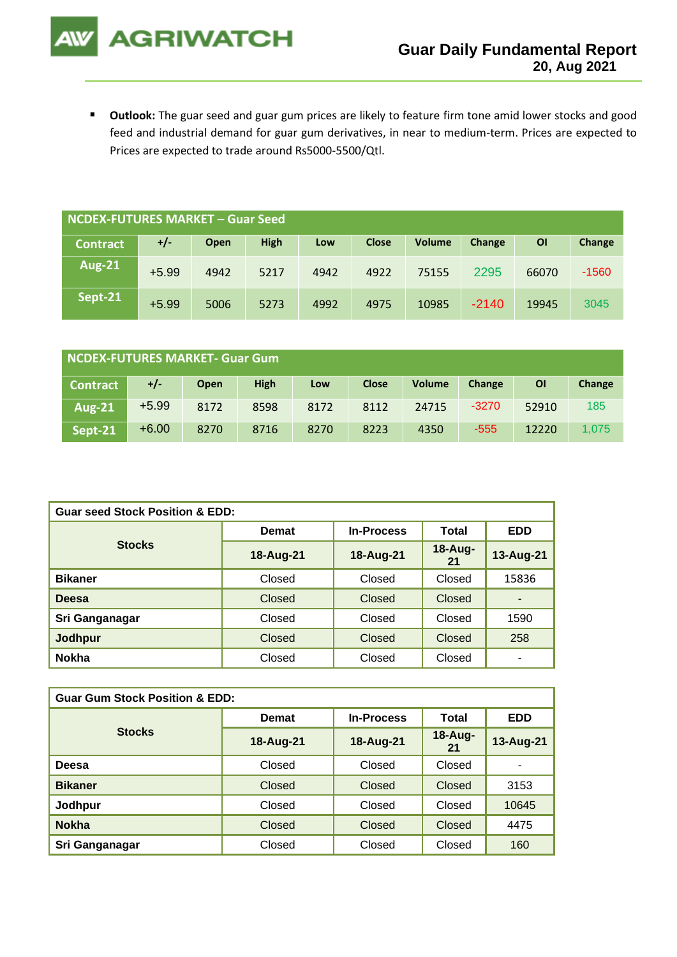■ Outlook: The guar seed and guar gum prices are likely to feature firm tone amid lower stocks and good feed and industrial demand for guar gum derivatives, in near to medium-term. Prices are expected to Prices are expected to trade around Rs5000-5500/Qtl.

**AGRIWATCH** 

| NCDEX-FUTURES MARKET – Guar Seed |         |      |             |      |              |               |         |       |         |
|----------------------------------|---------|------|-------------|------|--------------|---------------|---------|-------|---------|
| <b>Contract</b>                  | $+/-$   | Open | <b>High</b> | Low  | <b>Close</b> | <b>Volume</b> | Change  | OI    | Change  |
| <b>Aug-21</b>                    | $+5.99$ | 4942 | 5217        | 4942 | 4922         | 75155         | 2295    | 66070 | $-1560$ |
| Sept-21                          | $+5.99$ | 5006 | 5273        | 4992 | 4975         | 10985         | $-2140$ | 19945 | 3045    |

| NCDEX-FUTURES MARKET- Guar Gum |         |      |             |      |              |               |         |       |        |
|--------------------------------|---------|------|-------------|------|--------------|---------------|---------|-------|--------|
| <b>Contract</b>                | +/-     | Open | <b>High</b> | Low  | <b>Close</b> | <b>Volume</b> | Change  | ΟI    | Change |
| <b>Aug-21</b>                  | $+5.99$ | 8172 | 8598        | 8172 | 8112         | 24715         | $-3270$ | 52910 | 185    |
| Sept-21                        | $+6.00$ | 8270 | 8716        | 8270 | 8223         | 4350          | $-555$  | 12220 | 1.075  |

| <b>Guar seed Stock Position &amp; EDD:</b> |           |                   |               |                          |  |  |
|--------------------------------------------|-----------|-------------------|---------------|--------------------------|--|--|
|                                            | Demat     | <b>In-Process</b> | Total         | <b>EDD</b>               |  |  |
| <b>Stocks</b>                              | 18-Aug-21 | 18-Aug-21         | 18-Aug-<br>21 | 13-Aug-21                |  |  |
| <b>Bikaner</b>                             | Closed    | Closed            | Closed        | 15836                    |  |  |
| <b>Deesa</b>                               | Closed    | Closed            | <b>Closed</b> | $\overline{\phantom{0}}$ |  |  |
| Sri Ganganagar                             | Closed    | Closed            | Closed        | 1590                     |  |  |
| Jodhpur                                    | Closed    | Closed            | Closed        | 258                      |  |  |
| <b>Nokha</b>                               | Closed    | Closed            | Closed        | $\overline{\phantom{0}}$ |  |  |

| <b>Guar Gum Stock Position &amp; EDD:</b> |           |                   |               |            |  |  |  |
|-------------------------------------------|-----------|-------------------|---------------|------------|--|--|--|
|                                           | Demat     | <b>In-Process</b> | Total         | <b>EDD</b> |  |  |  |
| <b>Stocks</b>                             | 18-Aug-21 | 18-Aug-21         | 18-Aug-<br>21 | 13-Aug-21  |  |  |  |
| Deesa                                     | Closed    | Closed            | Closed        | ۰          |  |  |  |
| <b>Bikaner</b>                            | Closed    | Closed            | <b>Closed</b> | 3153       |  |  |  |
| Jodhpur                                   | Closed    | Closed            | Closed        | 10645      |  |  |  |
| <b>Nokha</b>                              | Closed    | <b>Closed</b>     | Closed        | 4475       |  |  |  |
| Sri Ganganagar                            | Closed    | Closed            | Closed        | 160        |  |  |  |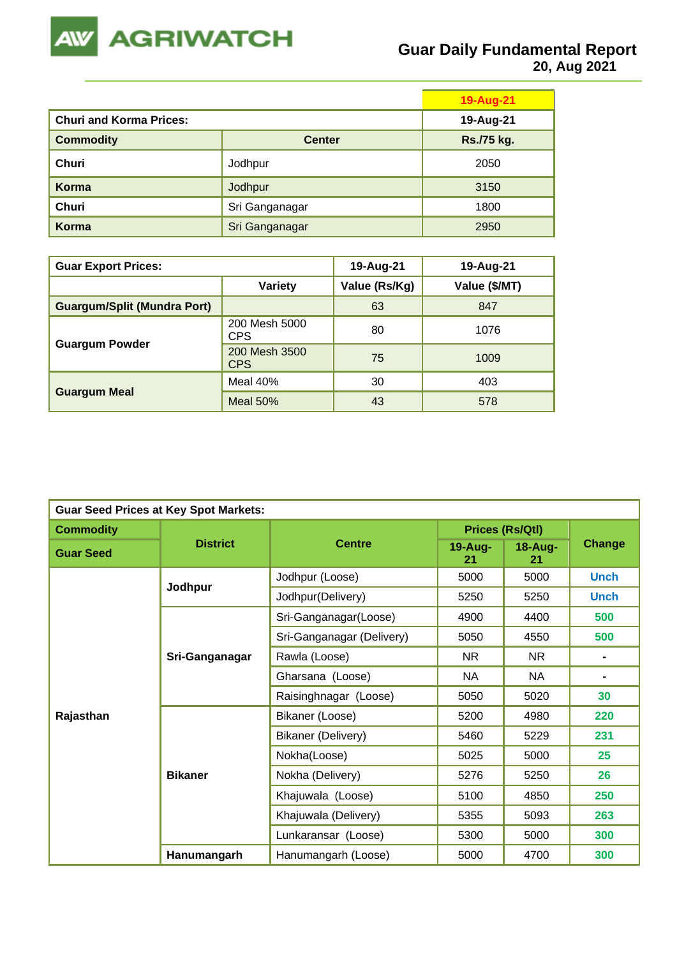

|                                |                | <b>19-Aug-21</b> |
|--------------------------------|----------------|------------------|
| <b>Churi and Korma Prices:</b> | 19-Aug-21      |                  |
| <b>Commodity</b>               | <b>Center</b>  | Rs./75 kg.       |
| Churi                          | Jodhpur        | 2050             |
| Korma                          | Jodhpur        | 3150             |
| <b>Churi</b>                   | Sri Ganganagar | 1800             |
| Korma                          | Sri Ganganagar | 2950             |

| <b>Guar Export Prices:</b>         | 19-Aug-21                   | 19-Aug-21     |               |
|------------------------------------|-----------------------------|---------------|---------------|
|                                    | <b>Variety</b>              | Value (Rs/Kg) | Value (\$/MT) |
| <b>Guargum/Split (Mundra Port)</b> |                             | 63            | 847           |
|                                    | 200 Mesh 5000<br><b>CPS</b> | 80            | 1076          |
| <b>Guargum Powder</b>              | 200 Mesh 3500<br><b>CPS</b> | 75            | 1009          |
|                                    | Meal 40%                    | 30            | 403           |
| <b>Guargum Meal</b>                | Meal $50\%$                 | 43            | 578           |

| <b>Guar Seed Prices at Key Spot Markets:</b> |                 |                           |                        |               |                |  |  |
|----------------------------------------------|-----------------|---------------------------|------------------------|---------------|----------------|--|--|
| <b>Commodity</b>                             |                 | <b>Centre</b>             | <b>Prices (Rs/Qtl)</b> |               |                |  |  |
| <b>Guar Seed</b>                             | <b>District</b> |                           | 19-Aug-<br>21          | 18-Aug-<br>21 | <b>Change</b>  |  |  |
|                                              | Jodhpur         | Jodhpur (Loose)           | 5000                   | 5000          | <b>Unch</b>    |  |  |
|                                              |                 | Jodhpur(Delivery)         | 5250                   | 5250          | <b>Unch</b>    |  |  |
|                                              |                 | Sri-Ganganagar(Loose)     | 4900                   | 4400          | 500            |  |  |
|                                              | Sri-Ganganagar  | Sri-Ganganagar (Delivery) | 5050                   | 4550          | 500            |  |  |
|                                              |                 | Rawla (Loose)             | NR.                    | <b>NR</b>     | $\blacksquare$ |  |  |
|                                              |                 | Gharsana (Loose)          | <b>NA</b>              | <b>NA</b>     | $\blacksquare$ |  |  |
|                                              |                 | Raisinghnagar (Loose)     | 5050                   | 5020          | 30             |  |  |
| Rajasthan                                    |                 | Bikaner (Loose)           | 5200                   | 4980          | 220            |  |  |
|                                              |                 | Bikaner (Delivery)        | 5460                   | 5229          | 231            |  |  |
|                                              |                 | Nokha(Loose)              | 5025                   | 5000          | 25             |  |  |
|                                              | <b>Bikaner</b>  | Nokha (Delivery)          | 5276                   | 5250          | 26             |  |  |
|                                              |                 | Khajuwala (Loose)         | 5100                   | 4850          | 250            |  |  |
|                                              |                 | Khajuwala (Delivery)      | 5355                   | 5093          | 263            |  |  |
|                                              |                 | Lunkaransar (Loose)       | 5300                   | 5000          | 300            |  |  |
|                                              | Hanumangarh     | Hanumangarh (Loose)       | 5000                   | 4700          | 300            |  |  |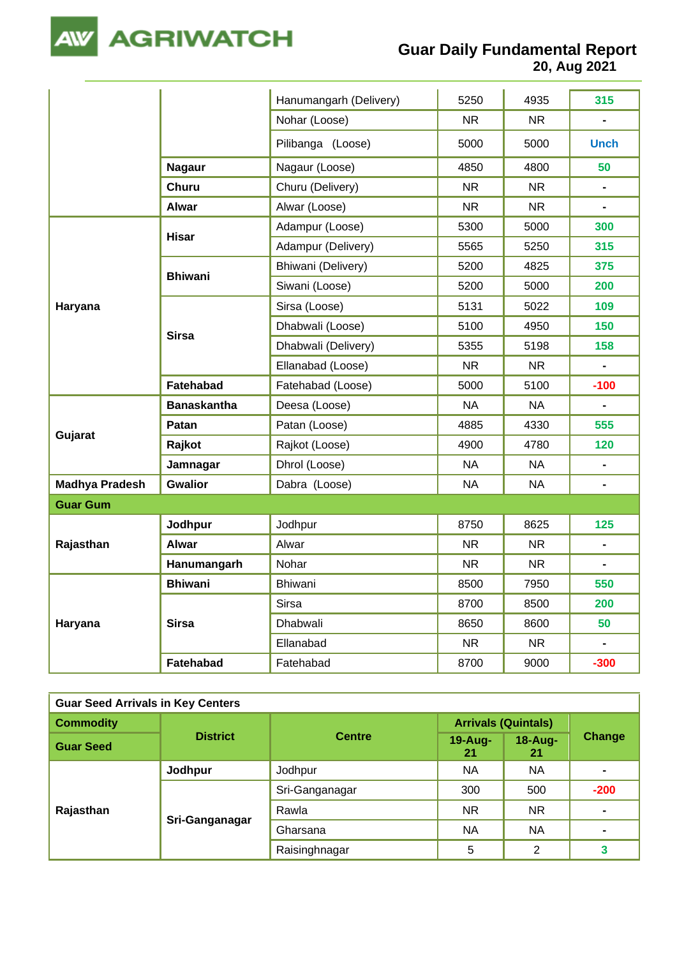

**20, Aug 2021**

|                       |                    | Hanumangarh (Delivery) | 5250      | 4935      | 315            |
|-----------------------|--------------------|------------------------|-----------|-----------|----------------|
|                       |                    | Nohar (Loose)          | <b>NR</b> | <b>NR</b> | $\blacksquare$ |
|                       |                    | Pilibanga (Loose)      | 5000      | 5000      | <b>Unch</b>    |
|                       | <b>Nagaur</b>      | Nagaur (Loose)         | 4850      | 4800      | 50             |
|                       | <b>Churu</b>       | Churu (Delivery)       | <b>NR</b> | NR.       | $\blacksquare$ |
|                       | <b>Alwar</b>       | Alwar (Loose)          | <b>NR</b> | <b>NR</b> | $\blacksquare$ |
|                       | <b>Hisar</b>       | Adampur (Loose)        | 5300      | 5000      | 300            |
|                       |                    | Adampur (Delivery)     | 5565      | 5250      | 315            |
|                       | <b>Bhiwani</b>     | Bhiwani (Delivery)     | 5200      | 4825      | 375            |
|                       |                    | Siwani (Loose)         | 5200      | 5000      | 200            |
| Haryana               |                    | Sirsa (Loose)          | 5131      | 5022      | 109            |
|                       | <b>Sirsa</b>       | Dhabwali (Loose)       | 5100      | 4950      | 150            |
|                       |                    | Dhabwali (Delivery)    | 5355      | 5198      | 158            |
|                       |                    | Ellanabad (Loose)      | <b>NR</b> | <b>NR</b> | $\blacksquare$ |
|                       | Fatehabad          | Fatehabad (Loose)      | 5000      | 5100      | $-100$         |
|                       | <b>Banaskantha</b> | Deesa (Loose)          | <b>NA</b> | <b>NA</b> | ă.             |
|                       | Patan              | Patan (Loose)          | 4885      | 4330      | 555            |
| Gujarat               | Rajkot             | Rajkot (Loose)         | 4900      | 4780      | 120            |
|                       | Jamnagar           | Dhrol (Loose)          | <b>NA</b> | <b>NA</b> | $\blacksquare$ |
| <b>Madhya Pradesh</b> | <b>Gwalior</b>     | Dabra (Loose)          | <b>NA</b> | NA        | $\blacksquare$ |
| <b>Guar Gum</b>       |                    |                        |           |           |                |
|                       | Jodhpur            | Jodhpur                | 8750      | 8625      | 125            |
| Rajasthan             | <b>Alwar</b>       | Alwar                  | <b>NR</b> | NR.       | $\blacksquare$ |
|                       | Hanumangarh        | Nohar                  | <b>NR</b> | <b>NR</b> |                |
|                       | <b>Bhiwani</b>     | Bhiwani                | 8500      | 7950      | 550            |
|                       |                    | Sirsa                  | 8700      | 8500      | 200            |
| Haryana               | <b>Sirsa</b>       | Dhabwali               | 8650      | 8600      | 50             |
|                       |                    | Ellanabad              | <b>NR</b> | <b>NR</b> | $\blacksquare$ |
|                       | Fatehabad          | Fatehabad              | 8700      | 9000      | $-300$         |

| <b>Guar Seed Arrivals in Key Centers</b> |                 |                |                            |                |                |  |  |
|------------------------------------------|-----------------|----------------|----------------------------|----------------|----------------|--|--|
| <b>Commodity</b>                         | <b>District</b> | <b>Centre</b>  | <b>Arrivals (Quintals)</b> |                |                |  |  |
| <b>Guar Seed</b>                         |                 |                | 19-Aug-<br>21              | 18-Aug-<br>-21 | Change         |  |  |
|                                          | Jodhpur         | Jodhpur        | <b>NA</b>                  | NA             | $\blacksquare$ |  |  |
|                                          | Sri-Ganganagar  | Sri-Ganganagar | 300                        | 500            | $-200$         |  |  |
| Rajasthan                                |                 | Rawla          | NR.                        | NR.            | $\blacksquare$ |  |  |
|                                          |                 | Gharsana       | <b>NA</b>                  | NA             |                |  |  |
|                                          |                 | Raisinghnagar  | 5                          | 2              | 3              |  |  |